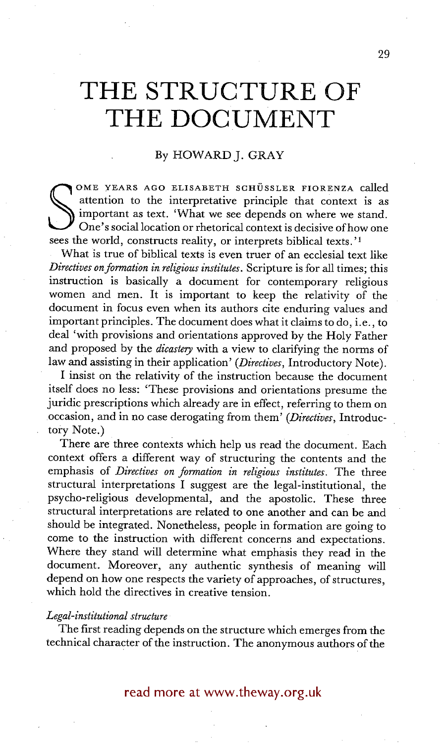# **THE STRUCTURE OF THE DOCUMENT**

## By HOWARD J. GRAY

OME YEARS AGO ELISABETH SCHÜSSLER FIORENZA called<br>attention to the interpretative principle that context is as<br>important as text. 'What we see depends on where we stand.<br>One's social location or rhetorical context is decis attention to the interpretative principle that context is as important as text. 'What we see depends on where we stand. One's social location or rhetorical context is decisive of how one sees the world, constructs reality, or interprets biblical texts.'<sup>1</sup>

What is true of biblical texts is even truer of an ecclesial text like *Directives on formation in religious institutes.* Scripture is for all times; this instruction is basically a document for contemporary religious women and men. It is important to keep the relativity of the document in focus even when its authors cite enduring values and important principles. The document does what it claims to do, i.e., to deal 'with provisions and orientations approved by the Holy Father and proposed by the *dicastery* with a view to clarifying the norms of law and assisting in their application' *(Directives,* Introductory Note).

I insist on the relativity of the instruction because the document itself does no less: 'These provisions and orientations presume the juridic prescriptions which already are in effect, referring to them on occasion, and in no case derogating from them' *(Directives,* Introductory Note.)

There are three contexts which help us read the document. Each context offers a different way of structuring the contents and the emphasis of *Directives on formation in religious institutes.* The three structural interpretations I suggest are the legal-institutional, the psycho-religious developmental, and the apostolic. These three structural interpretations are related to one another and can be and should be integrated. Nonetheless, people in formation are going to come to the instruction with different concerns and expectations. Where they stand will determine what emphasis they read in the document. Moreover, any authentic synthesis of meaning will depend on how one respects the variety of approaches, of structures, which hold the directives in creative tension.

#### *Legal-institutional structure*

The first reading depends on the structure which emerges from the technical character of the instruction. The anonymous authors of the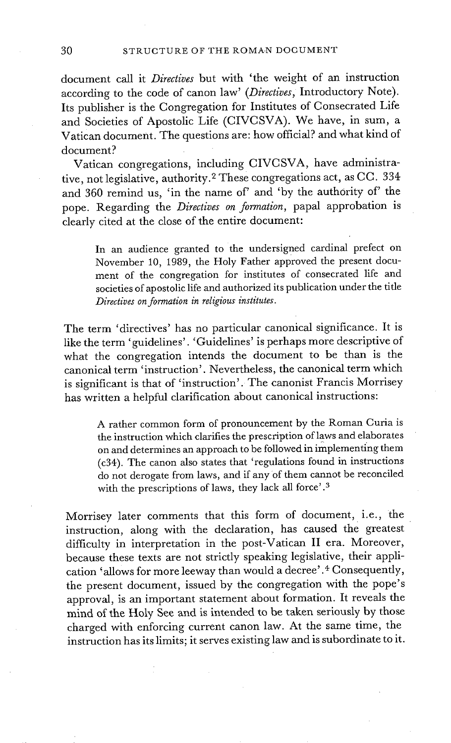document call it *Directives* but with 'the weight of an instruction according to the code of canon law' *(Directives,* Introductory Note). Its publisher is the Congregation for Institutes of Consecrated Life and Societies of Apostolic Life (CIVCSVA). We have, in sum, a Vatican document. The questions are: how official? and what kind of document?

Vatican congregations, including CIVCSVA, have administrative, not legislative, authority. 2 These congregations act, as CC. 334 and 360 remind us, 'in the name of' and 'by the authority of' the pope. Regarding the *Directives on formation,* papal approbation is clearly cited at the close of the entire document:

In an audience granted to the undersigned cardinal prefect on November 10, 1989, the Holy Father approved the present document of the congregation for institutes of consecrated life and societies of apostolic life and authorized its publication under the title *Directives on formation in religious institutes.* 

The term 'directives' has no particular canonical significance. It is like the term 'guidelines'. 'Guidelines' is perhaps more descriptive of what the congregation intends the document to be than is the canonical term 'instruction'. Nevertheless, the canonical term which is significant is that of 'instruction'. The canonist Francis Morrisey has written a helpful clarification about canonical instructions:

A rather common form of pronouncement by the Roman Curia is the instruction which clarifies the prescription of laws and elaborates on and determines an approach to be followed in implement{ng them (c34). The canon also states that 'regulations found in instructions do not derogate from laws, and if any of them cannot be reconciled with the prescriptions of laws, they lack all force'.<sup>3</sup>

Morrisey later comments that this form of document, i.e., the instruction, along with the declaration, has caused the greatest difficulty in interpretation in the post-Vatican II era. Moreover, because these texts are not strictly speaking legislative, their application 'allows for more leeway than would a decree' .4 Consequently, the present document, issued by the congregation with the pope's approval, is an important statement about formation. It reveals the mind of the Holy See and is intended to be taken seriously by those charged with enforcing current canon law. At the same time, the instruction has its limits; it serves existing law and is subordinate to it.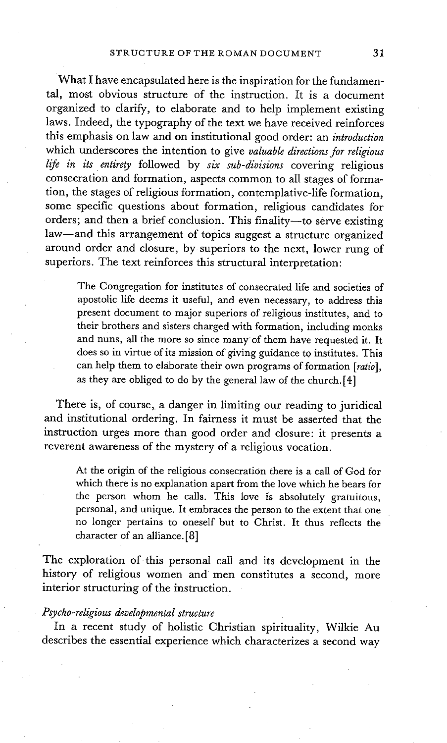What I have encapsulated here is the inspiration for the fundamental, most obvious structure of the instruction. It is a document organized to clarify, to elaborate and to help implement existing laws. Indeed, the typography of the text we have received reinforces this emphasis on law and on institutional good order: an *introduction*  which underscores the intention to give *valuable directions for religious life in its entirety* followed by *six sub-divisions* covering religious consecration and formation, aspects common to all stages of formation, the stages of religious formation, contemplative-life formation, some specific questions about formation, religious candidates for orders; and then a brief conclusion. This finality-to serve existing law-and this arrangement of topics suggest a structure organized around order and closure, by superiors to the next, lower rung of superiors. The text reinforces this structural interpretation:

The Congregation for institutes of consecrated life and societies of apostolic life deems it useful, and even necessary, to address this present document to major superiors of religious institutes, and to their brothers and sisters charged with formation, including monks and nuns, all the more so since many of them have requested it. It does so in virtue of its mission of giving guidance to institutes. This can help them to elaborate their own programs of formation *[ratio],*  as they are obliged to do by the general law of the church. $[4]$ 

There is, of course, a danger in limiting our reading to juridical and institutional ordering. In fairness it must be asserted that the instruction urges more than good order and closure: it presents a reverent awareness of the mystery of a religious vocation.

At the origin of the religious consecration there is a call of God for which there is no explanation apart from the love which he bears for the person whom he calls. This love is absolutely gratuitous, personal, and unique. It embraces the person to the extent that one no longer pertains to oneself but to Christ. It thus reflects the character of an alliance. [8]

The exploration of this personal call and its development in the history of religious women and men constitutes a second, more interior structuring of the instruction.

## *Psycho-religious developmental structure*

In a recent study of holistic Christian spirituality, Wilkie Au describes the essential experience which characterizes a second way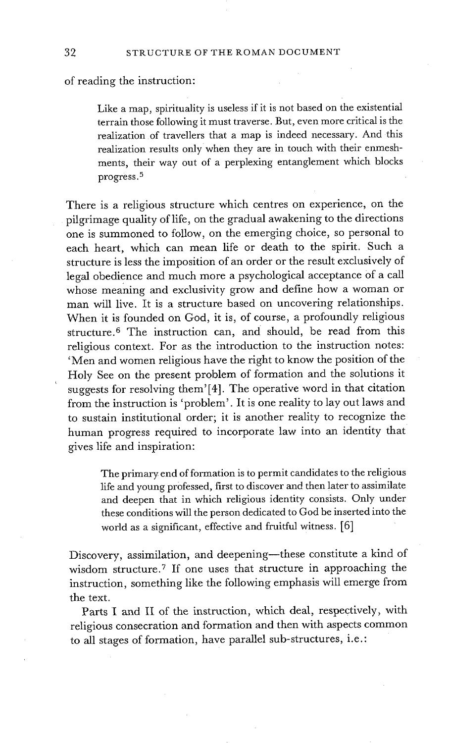of reading the instruction:

Like a map, spirituality is useless if it is not based on the existential terrain those following it must traverse. But, even more critical is the realization of travellers that a map is indeed necessary. And this realization results only when they are in touch with their enmeshments, their way out of a perplexing entanglement which blocks progress. 5

There is a religious structure which centres on experience, on the pilgrimage quality of life, on the gradual awakening to the directions one is summoned to follow, on the emerging choice, so personal to each heart, which can mean life or death to the spirit. Such a structure is less the imposition of an order or the result exclusively of legal obedience and much more a psychological acceptance of a call whose meaning and exclusivity grow and define how a woman or man will live. It is a structure based on uncovering relationships. When it is founded on God, it is, of course, a profoundly religious structure.<sup>6</sup> The instruction can, and should, be read from this religious context. For as the introduction to the instruction notes: 'Men and women religious have the right to know the position of the Holy See on the present problem of formation and the solutions it suggests for resolving them'[4]. The operative word in that citation from the instruction is 'problem'. It is one reality to lay out laws and to sustain institutional order; it is another reality to recognize the human progress required to incorporate law into an identity that gives life and inspiration:

> The primary end of formation is to permit candidates to the religious life and young professed, first to discover and then later to assimilate and deepen that in which religious identity consists. Only under these conditions will the person dedicated to God be inserted into the world as a significant, effective and fruitful witness. [6]

Discovery, assimilation, and deepening-these constitute a kind of wisdom structure. 7 If one uses that structure in approaching the instruction, something like the following emphasis will emerge from the text.

Parts I and II of the instruction, which deal, respectively, with religious consecration and formation and then with aspects common to all stages of formation, have parallel sub-structures, i.e. :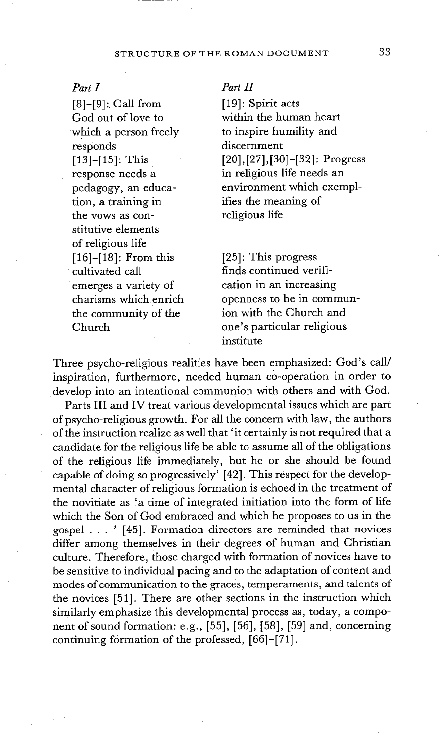## STRUCTURE OF THE ROMAN DOCUMENT 33

#### Part I

[8]-[9]: Call from God out of love to which a person freely responds [13]-[15]: This response needs a pedagogy, an education, a training in the vows as constitutive elements of religious life [16]-[18]: From this cultivated call emerges a variety of charisms which enrich the community of the Church

#### Part H

[19]: Spirit acts within the human heart to inspire humility and discernment [20],[27],[30]-[32]: Progress in religious life needs an environment which exemplifies the meaning of religious life

[25]: This progress finds continued verification in an increasing openness to be in communion with the Church and one's particular religious institute

Three psycho-religious realities have been emphasized: God's call/ inspiration, furthermore, needed human c0-operation in order to develop into an intentional communion with others and with God.

Parts III and IV treat various developmental issues which are part of psycho-religious growth. For all the concern with law, the authors of the instruction realize as well that 'it certainly is not required that a candidate for the religious life be able to assume all of the obligations of the religious life immediately, but he or she should be found capable of doing so progressively' [42]. This respect for the developmental character of religious formation is echoed in the treatment of the novitiate as 'a time of integrated initiation into the form of life which the Son of God embraced and which he proposes to us in the gospel . . . ' [45]. Formation directors are reminded that novices differ among themselves in their degrees of human and Christian culture. Therefore, those charged with formation of novices have to be sensitive to individual pacing and to the adaptation of content and modes of communication to the graces, *temperaments,* and talents of the novices [51]. There are other sections in the instruction which similarly emphasize this developmental process as, today, a component of sound formation: e.g., [55], [56], [58], [59] and, concerning continuing formation of the professed, [66]-[71].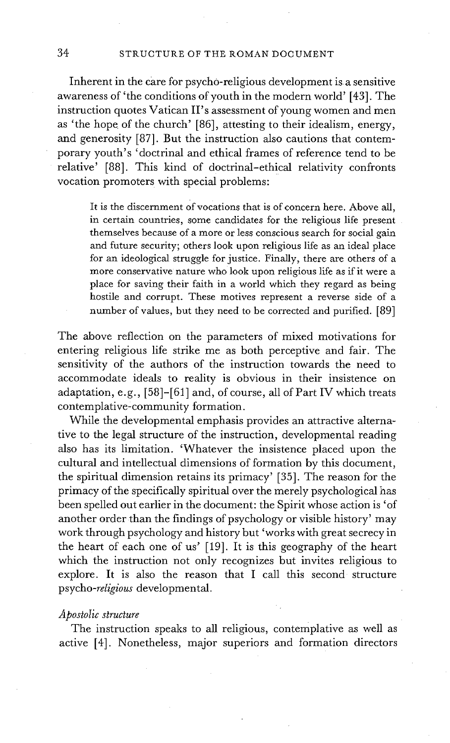### 34 STRUCTURE OF THE ROMAN DOCUMENT

Inherent in the care for psycho-religious development is a sensitive awareness of 'the conditions of youth in the modern world' [43]. The instruction quotes Vatican II's assessment of young women and men as 'the hope of the church' [86], attesting to their idealism, energy, and generosity [87]. But the instruction also cautions that contemporary youth's 'doctrinal and ethical frames of reference tend to be relative' [88]. This kind of doctrinal-ethical relativity confronts vocation promoters with special problems:

It is the discernment of vocations that is of concern here. Above all, in certain countries, some candidates for the religious life present themselves because of a more or less conscious search for social gain and future security; others look upon religious life as an ideal place for an ideological struggle for justice. Finally, there are others of a more conservative nature who look upon religious life as if it were a place for saving their faith in a world which they regard as being hostile and corrupt. These motives represent a reverse side of a number of values, but they need to be corrected and purified. [89]

The above reflection on the parameters of mixed motivations for entering religious life strike me as both perceptive and fair. The sensitivity of the authors of the instruction towards the need to accommodate ideals to reality is obvious in their insistence on adaptation, e.g., [58]-[61 ] and, of course, all of Part IV which treats contemplative-community formation.

While the developmental emphasis provides an attractive alternative to the legal structure of the instruction, developmental reading also has its limitation. 'Whatever the insistence placed upon the cultural and intellectual dimensions of formation by this document, the spiritual dimension retains its primacy' [35]. The reason for the primacy of the specifically spiritual over the merely psychological has been spelled out earlier in the document: the Spirit whose action is 'of another order than the findings of psychology or visible history' may work through psychology and history but 'works with great secrecy in the heart of each one of us' [19]. It is this geography of the heart which the instruction not only recognizes but invites religious to explore. It is also the reason that I call this second structure *psycho-religious* developmental.

#### *Apostolic structure*

The instruction speaks to all religious, contemplative as well as active [4]. Nonetheless, major superiors and formation directors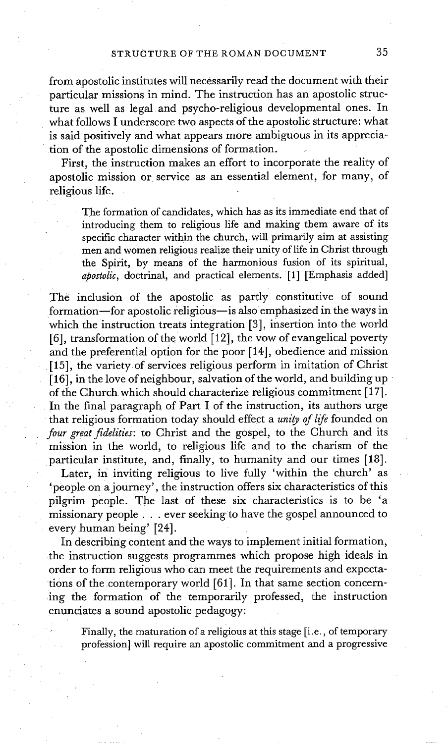from apostolic institutes will necessarily read the document with their particular missions in mind. The instruction has an apostolic structure as well as legal and psycho-religious developmental ones. In what follows I underscore two aspects of the apostolic structure: what is said positively and what appears more ambiguous in its appreciation of the apostolic dimensions of formation.

First, the instruction makes an effort to incorporate the reality of apostolic mission or service as an essential element, for many, of religious life.

The formation of candidates, which has as its immediate end that of introducing them to religious life and making them aware of its specific character within the church, will primarily aim at assisting men and women religious realize their unity of life in Christ through the Spirit, by means of the harmonious fusion of its spiritual, *apostolic,* doctrinal, and practical elements. [1] [Emphasis added]

The inclusion of the apostolic as partly constitutive of sound formation-for apostolic religious-is also emphasized in the ways in which the instruction treats integration [3], insertion into the world [6], transformation of the world  $[12]$ , the vow of evangelical poverty and the preferential option for the poor [ 14], obedience and mission [15], the variety of services religious perform in imitation of Christ [ 16], in the love of neighbour, salvation of the world, and building up of the Church which should characterize religious commitment [17]. In the final paragraph of Part I of the instruction, its authors urge that religious formation today should effect a *unity of life* founded on *four great fidelities:* to Christ and the gospel, to the Church and its mission in the world, to religious life and to the charism of the particular institute, and, finally, to humanity and our times [18].

Later, in inviting religious to live fully 'within the church' as 'people on a journey', the instruction offers six characteristics of this pilgrim people. The last of these six characteristics is to be 'a missionary people.., ever seeking to have the gospel announced to every human being' [24].

In describing content and the ways to implement initial formation, the instruction suggests programmes which propose high ideals in order to form religious whocan meet the requirements and expectations of the contemporary world [61]. In that same section concerning the formation of the temporarily professed, the instruction enunciates a sound apostolic pedagogy:

Finally, the maturation of a religious at this stage [i.e., of temporary profession] will require an apostolic commitment and a progressive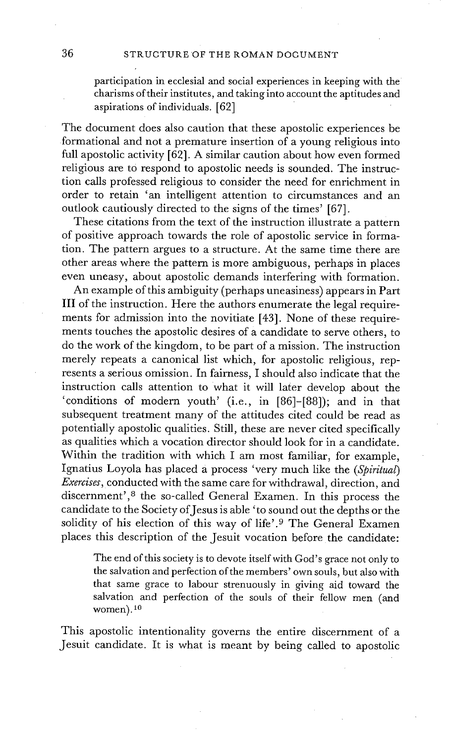participation in ecclesial and social experiences in keeping with the charisms of their institutes, and taking into account the aptitudes and aspirations of individuals. [62]

The document does also caution that these apostolic experiences be formational and not a premature insertion of a young religious into full apostolic activity [62]. A similar caution about how even formed religious are to respond to apostolic needs is sounded. The instruction calls professed religious to consider the need for enrichment in order to retain 'an intelligent attention to circumstances and an outlook cautiously directed to the signs of the times' [67].

These citations from the text of the instruction illustrate a pattern of positive approach towards the role of apostolic service in formation. The pattern argues to a structure. At the same time there are other areas where the pattern is more ambiguous, perhaps in places even uneasy, about apostolic demands interfering with formation.

An example of this ambiguity (perhaps uneasiness) appears in Part III of the instruction. Here the authors enumerate the legal requirements for admission into the novitiate [43]. None of these requirements touches the apostolic desires of a candidate to serve others, to do the work of the kingdom, to be part of a mission. The instruction merely repeats a canonical list which, for apostolic religious, represents a serious omission. In fairness, I should also indicate that the instruction calls attention to what it will later develop about the 'conditions of modern youth' (i.e., in [86]-[88]); and in that subsequent treatment many of the attitudes cited could be read as potentially apostolic qualities. Still, these are never cited specifically as qualities which a vocation director should look for in a candidate. Within the tradition with which I am most familiar, for example, Ignatius Loyola has placed a process 'very much like the *(Spiritual) Exercises,* conducted with the same care for withdrawal, direction, and discernment', 8 the so-called General Examen. In this process the candidate to the Society of Jesus is able 'to sound out the depths or the solidity of his election of this way of life'.<sup>9</sup> The General Examen places this description of the Jesuit vocation before the candidate:

The end of this society is to devote itself with God's grace not only to the salvation and perfection of the members' own souls, but also with that same grace to labour strenuously in giving aid toward the salvation and perfection of the souls of their fellow men (and women).<sup>10</sup>

This apostolic intentionality governs the entire discernment of a Jesuit candidate. It is what is meant by being called to apostolic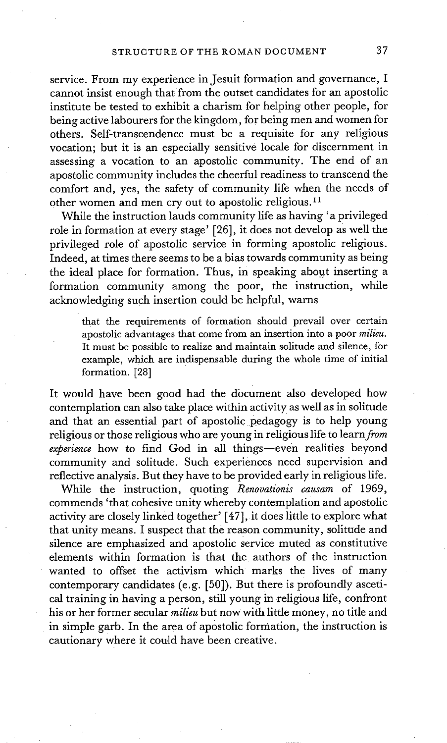service. From my experience in Jesuit formation and governance, I cannot insist enough that from the outset candidates for an apostolic institute be tested to exhibit a charism for helping other people, for being active labourers for the kingdom, for being men and women for others. Self-transcendence must be a requisite for any religious vocation; but it is an especially sensitive locale for discernment in assessing a vocation to an apostolic community. The end of an apostolic community includes the cheerful readiness to transcend the comfort and, yes, the safety of community life when the needs of other women and men cry out to apostolic religious. 11

While the instruction lauds community life as having 'a privileged role in formation at every stage' [26], it does not develop as well the privileged role of apostolic service in forming apostolic religious. Indeed, at times there seems to be a bias towards community as being the ideal place for formation. Thus, in speaking about inserting a formation community among the poor, the instruction, while acknowledging such insertion could be helpful, warns

that the requirements of formation should prevail over certain apostolic advantages that come from an insertion into a poor *milieu.*  It must be possible to realize and maintain solitude and silence, for example, which are indispensable during the whole time of initial formation. [28]

It would have been good had the document also developed how contemplation can also take place within activity as well as in solitude and that an essential part of apostolic pedagogy is to help young religious or those religious who are young in religious life to *learn from experience* how to find God in all things--even realities beyond community and solitude. Such experiences need supervision and reflective analysis. But they have to be provided early in religious life.

While the instruction, quoting *Renovationis causam* of 1969, commends 'that cohesive unity whereby contemplation and apostolic activity are closely linked together' [47], it does little to explore what that unity means. I suspect that the reason community, solitude and silence are emphasized and apostolic service muted as constitutive elements within formation is that the authors of the instruction wanted to offset the activism which marks the lives of many contemporary candidates (e.g. [50]). But there is profoundly ascetical training in having a person, still young in religious life, confront his or her former secular *milieu* but now with little money, no title and in simple garb. In the area of apostolic formation, the instruction is cautionary where it could have been creative.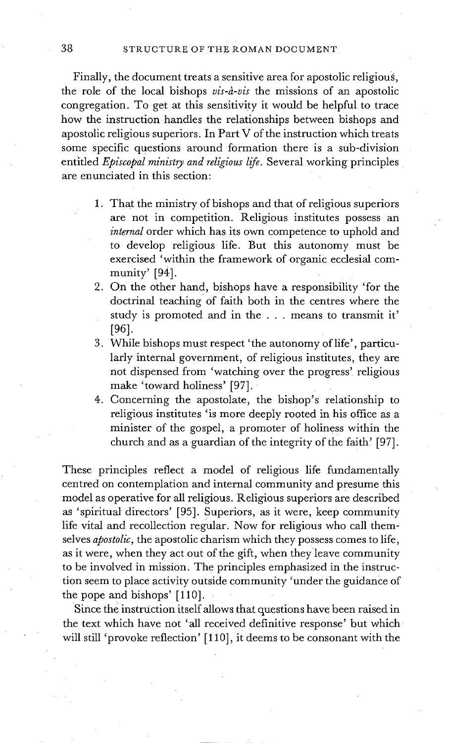38 STRUCTURE OF THE ROMAN DOCUMENT

Finally, the document treats a sensitive area for apostolic religious, the role of the local bishops *vis-à-vis* the missions of an apostolic congregation. To get at this sensitivity it would be helpful to trace how the instruction handles the relationships between bishops and apostolic religious superiors. In Part V of the instruction which treats some specific questions around formation there is a sub-division entitled *Episcopal ministry and religious life.* Several working principles are enunciated in this section:

- 1. That the ministry of bishops and that of religious superiors are not in competition. Religious institutes possess an *internal* order which has its own competence to uphold and to develop religious life. But this autonomy must be exercised 'within the framework of organic ecclesial community' [94].
- 2. On the other hand, bishops have a responsibility 'for the doctrinal teaching of faith both in the centres where the study is promoted and in the . . . means to transmit it' [961.
- 3. While bishops must respect 'the autonomy of life', particularly internal government, of religious institutes, they are not dispensed from 'watching over the progress' religious make 'toward holiness' [97].
- 4. Concerning the apostolate, the bishop's relationship to religious institutes 'is more deeply rooted in his office as a minister of the gospel, a promoter of holiness within the church and as a guardian of the integrity of the faith' [97].

These principles reflect a model of religious life fundamentally centred on contemplation and internal community and presume this model as operative for all religious. Religious superiors are described as 'spiritual directors' [95]. Superiors, as it were, keep community life vital and recollection regular. Now for religious who call themselves *apostolic,* the apostolic charism which they possess comes to life, as it were, when they act out of the gift, when theyleave community to be involved in mission. The principles emphasized in the instruction seem to place activity outside community 'under the guidance of the pope and bishops' [110].

Since the instruction itself allows that questions have been raised in the text which have not 'all received definitive response' but which will still 'provoke reflection' [110], it deems to be consonant with the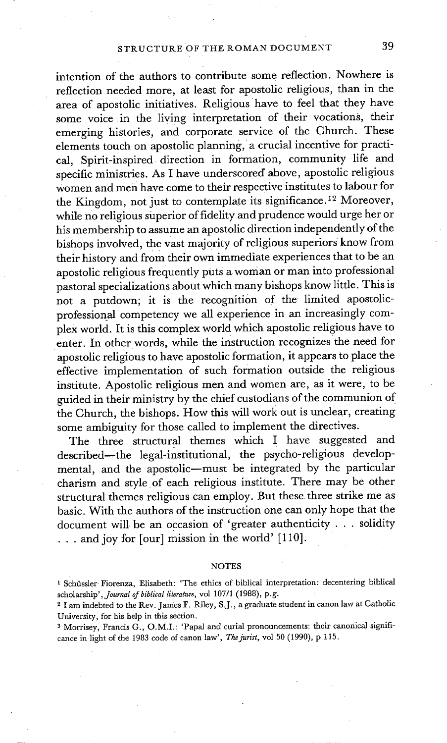intention of the authors to contribute some reflection. Nowhere is reflection needed more, at least for apostolic religious, than in the area of apostolic initiatives. Religious have to feel that they have some voice in the living interpretation of their vocations, their emerging histories, and corporate service of the Church. These elements touch on apostolic planning, a crucial incentive for practical, Spirit-inspired direction in formation, community life and specific ministries. As I have underscored above, apostolic religious women and men have come to their respective institutes to labour for the Kingdom, not just to contemplate its significance.<sup>12</sup> Moreover, while no religious siaperior of fidelity and prudence would urge her or his membership to assume an apostolic direction independently of the bishops involved, the vast majority of religious superiors know from their history and from their own immediate experiences that to be an apostolic religious frequently puts a woman or man into professional pastoral specializations about which many bishops know little. This is not a putdown; it is the recognition of the limited apostolicprofessional competency we all experience in an increasingly complex world. It is this complex world which apostolic religious have to enter. In other words, while the instruction recognizes the need for apostolic religious to have apostolic formation, it appears to place the effective implementation of such formation outside the religious institute. Apostolic religious men and women are, as it were, to be guided in their ministry by the chief custodians of the communion of the Church, the bishops. How this will work out is unclear, creating some ambiguity for those called to implement the directives.

The three structural themes which I have suggested and described--the legal-institutional, the psycho-religious developmental, and the apostolic--must be integrated by the particular charism and style• of each religious institute. There may be other structural themes religious can employ. But these three strike me as basic. With the authors of the instruction one can only hope that the document will be an occasion of 'greater authenticity . . . solidity ... and joy for [our] mission in the world' [110].

#### NOTES

<sup>&</sup>lt;sup>1</sup> Schüssler Fiorenza, Elisabeth: 'The ethics of biblical interpretation: decentering biblical *scholarship',Journal of biblical literature,* vol 107/1 (1988), p.g.

<sup>2</sup> I am indebted to the Rev. James F. Riley, S.J., a graduate student in canon law at Catholic University, for his help in this section.

<sup>3</sup> Morrisey, Francis G., O.M.I.: 'Papal and curial pronouncements: their canonical significance in light of the 1983 code of canon law', *The jurist,* vol 50 (1990), p 115.